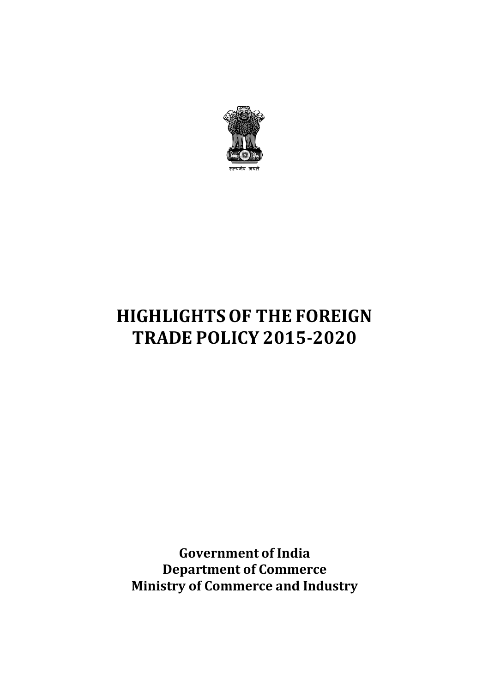

# **HIGHLIGHTS OF THE FOREIGN TRADE POLICY 2015-2020**

**Government of India Department of Commerce Ministry of Commerce and Industry**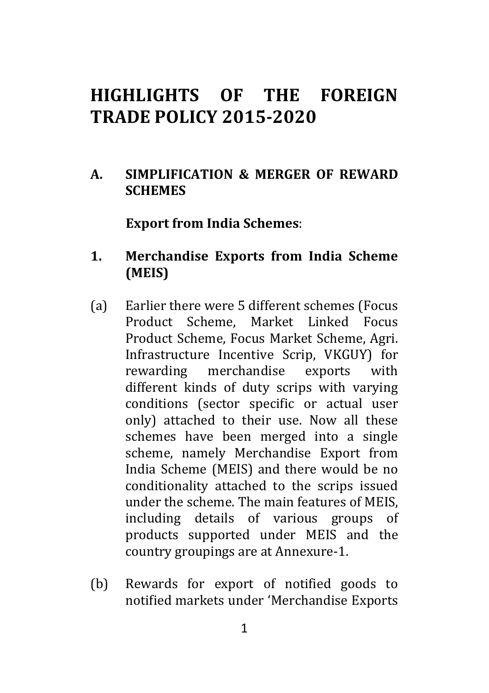# **HIGHLIGHTS OF THE FOREIGN TRADE POLICY 2015-2020**

**A. SIMPLIFICATION & MERGER OF REWARD SCHEMES** 

**Export from India Schemes**:

- **1. Merchandise Exports from India Scheme (MEIS)**
- (a) Earlier there were 5 different schemes (Focus Product Scheme, Market Linked Focus Product Scheme, Focus Market Scheme, Agri. Infrastructure Incentive Scrip, VKGUY) for rewarding merchandise exports with different kinds of duty scrips with varying conditions (sector specific or actual user only) attached to their use. Now all these schemes have been merged into a single scheme, namely Merchandise Export from India Scheme (MEIS) and there would be no conditionality attached to the scrips issued under the scheme. The main features of MEIS, including details of various groups of products supported under MEIS and the country groupings are at Annexure-1.
- (b) Rewards for export of notified goods to notified markets under 'Merchandise Exports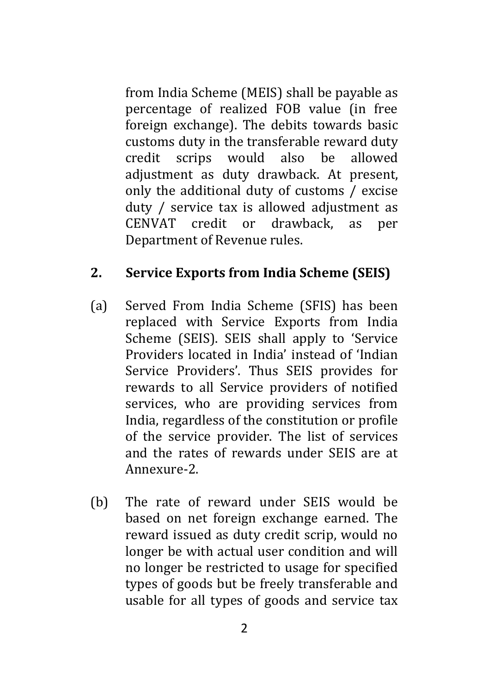from India Scheme (MEIS) shall be payable as percentage of realized FOB value (in free foreign exchange). The debits towards basic customs duty in the transferable reward duty credit scrips would also be allowed adjustment as duty drawback. At present, only the additional duty of customs / excise duty / service tax is allowed adjustment as CENVAT credit or drawback, as per Department of Revenue rules.

## **2. Service Exports from India Scheme (SEIS)**

- (a) Served From India Scheme (SFIS) has been replaced with Service Exports from India Scheme (SEIS). SEIS shall apply to 'Service Providers located in India' instead of 'Indian Service Providers'. Thus SEIS provides for rewards to all Service providers of notified services, who are providing services from India, regardless of the constitution or profile of the service provider. The list of services and the rates of rewards under SEIS are at Annexure-2.
- (b) The rate of reward under SEIS would be based on net foreign exchange earned. The reward issued as duty credit scrip, would no longer be with actual user condition and will no longer be restricted to usage for specified types of goods but be freely transferable and usable for all types of goods and service tax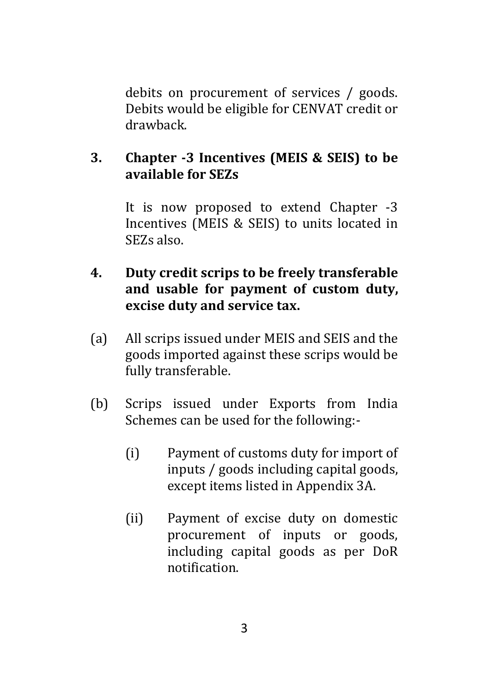debits on procurement of services / goods. Debits would be eligible for CENVAT credit or drawback.

#### **3. Chapter -3 Incentives (MEIS & SEIS) to be available for SEZs**

It is now proposed to extend Chapter -3 Incentives (MEIS & SEIS) to units located in SEZs also.

#### **4. Duty credit scrips to be freely transferable and usable for payment of custom duty, excise duty and service tax.**

- (a) All scrips issued under MEIS and SEIS and the goods imported against these scrips would be fully transferable.
- (b) Scrips issued under Exports from India Schemes can be used for the following:-
	- (i) Payment of customs duty for import of inputs / goods including capital goods, except items listed in Appendix 3A.
	- (ii) Payment of excise duty on domestic procurement of inputs or goods, including capital goods as per DoR notification.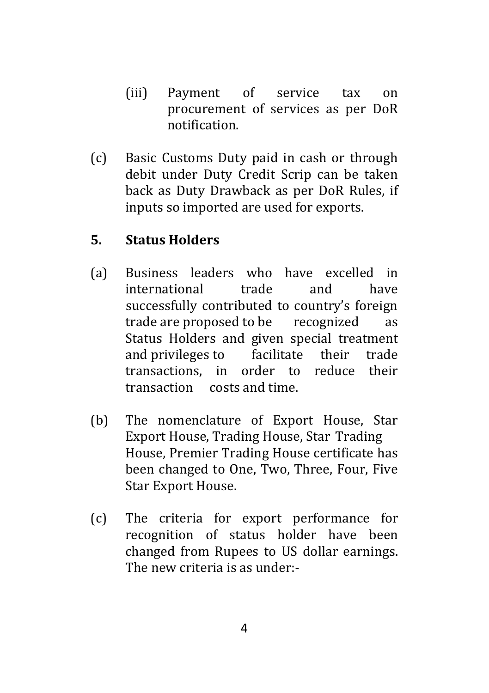- (iii) Payment of service tax on procurement of services as per DoR notification.
- (c) Basic Customs Duty paid in cash or through debit under Duty Credit Scrip can be taken back as Duty Drawback as per DoR Rules, if inputs so imported are used for exports.

#### **5. Status Holders**

- (a) Business leaders who have excelled in international trade and have successfully contributed to country's foreign trade are proposed to be recognized as Status Holders and given special treatment and privileges to facilitate their trade transactions, in order to reduce their transaction costs and time.
- (b) The nomenclature of Export House, Star Export House, Trading House, Star Trading House, Premier Trading House certificate has been changed to One, Two, Three, Four, Five Star Export House.
- (c) The criteria for export performance for recognition of status holder have been changed from Rupees to US dollar earnings. The new criteria is as under:-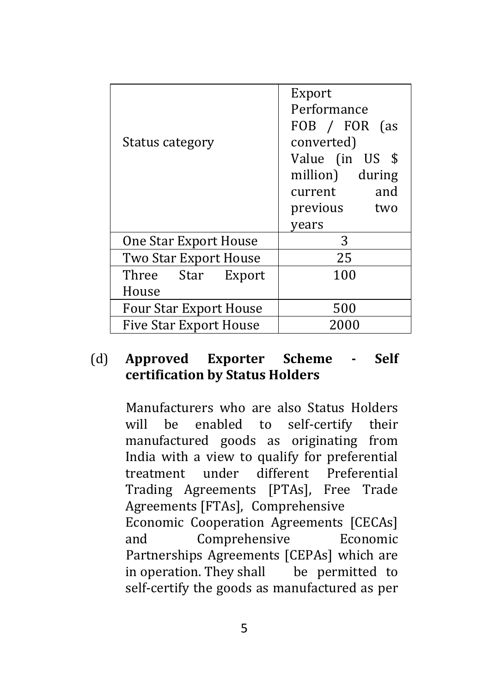| Status category               | Export<br>Performance<br>FOB / FOR (as<br>converted)<br>Value (in US \$<br>million) during<br>current and<br>previous two<br>years |  |
|-------------------------------|------------------------------------------------------------------------------------------------------------------------------------|--|
| One Star Export House         | 3                                                                                                                                  |  |
| Two Star Export House         | 25                                                                                                                                 |  |
| Three Star Export             | 100                                                                                                                                |  |
| House                         |                                                                                                                                    |  |
| <b>Four Star Export House</b> | 500                                                                                                                                |  |
| <b>Five Star Export House</b> | 2000                                                                                                                               |  |

#### (d) **Approved Exporter Scheme - Self certification by Status Holders**

Manufacturers who are also Status Holders will be enabled to self-certify their manufactured goods as originating from India with a view to qualify for preferential treatment under different Preferential Trading Agreements [PTAs], Free Trade Agreements [FTAs], Comprehensive Economic Cooperation Agreements [CECAs] and Comprehensive Economic Partnerships Agreements [CEPAs] which are in operation. They shall be permitted to self-certify the goods as manufactured as per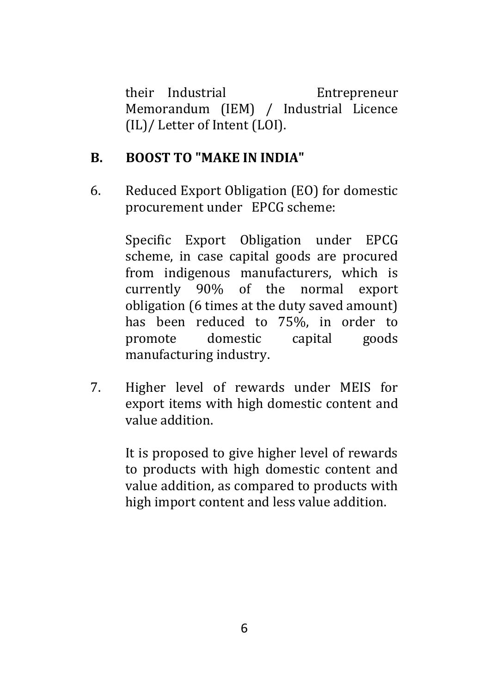their Industrial Entrepreneur Memorandum (IEM) / Industrial Licence (IL)/ Letter of Intent (LOI).

#### **B. BOOST TO "MAKE IN INDIA"**

6. Reduced Export Obligation (EO) for domestic procurement under EPCG scheme:

> Specific Export Obligation under EPCG scheme, in case capital goods are procured from indigenous manufacturers, which is currently 90% of the normal export obligation (6 times at the duty saved amount) has been reduced to 75%, in order to promote domestic capital goods manufacturing industry.

7. Higher level of rewards under MEIS for export items with high domestic content and value addition.

> It is proposed to give higher level of rewards to products with high domestic content and value addition, as compared to products with high import content and less value addition.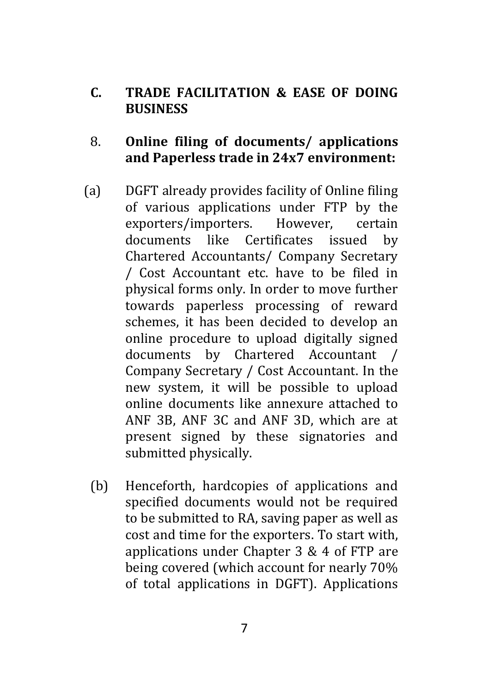#### **C. TRADE FACILITATION & EASE OF DOING BUSINESS**

#### 8. **Online filing of documents/ applications and Paperless trade in 24x7 environment:**

- (a) DGFT already provides facility of Online filing of various applications under FTP by the exporters/importers. However, certain documents like Certificates issued by Chartered Accountants/ Company Secretary / Cost Accountant etc. have to be filed in physical forms only. In order to move further towards paperless processing of reward schemes, it has been decided to develop an online procedure to upload digitally signed documents by Chartered Accountant / Company Secretary / Cost Accountant. In the new system, it will be possible to upload online documents like annexure attached to ANF 3B, ANF 3C and ANF 3D, which are at present signed by these signatories and submitted physically.
	- (b) Henceforth, hardcopies of applications and specified documents would not be required to be submitted to RA, saving paper as well as cost and time for the exporters. To start with, applications under Chapter 3 & 4 of FTP are being covered (which account for nearly 70% of total applications in DGFT). Applications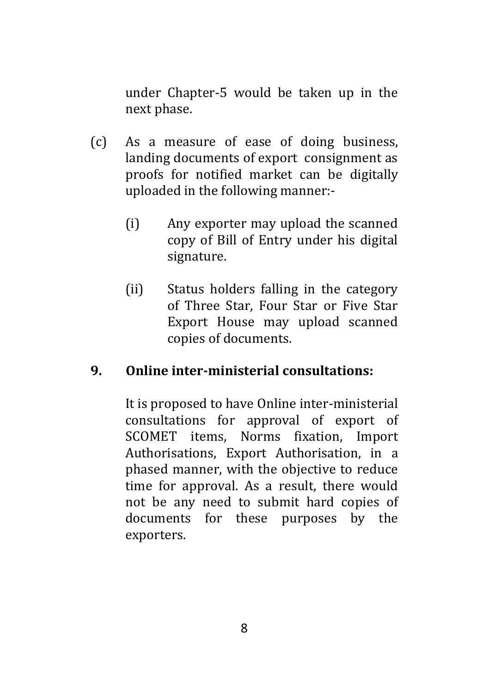under Chapter-5 would be taken up in the next phase.

- (c) As a measure of ease of doing business, landing documents of export consignment as proofs for notified market can be digitally uploaded in the following manner:-
	- (i) Any exporter may upload the scanned copy of Bill of Entry under his digital signature.
	- (ii) Status holders falling in the category of Three Star, Four Star or Five Star Export House may upload scanned copies of documents.

#### **9. Online inter-ministerial consultations:**

It is proposed to have Online inter-ministerial consultations for approval of export of SCOMET items, Norms fixation, Import Authorisations, Export Authorisation, in a phased manner, with the objective to reduce time for approval. As a result, there would not be any need to submit hard copies of documents for these purposes by the exporters.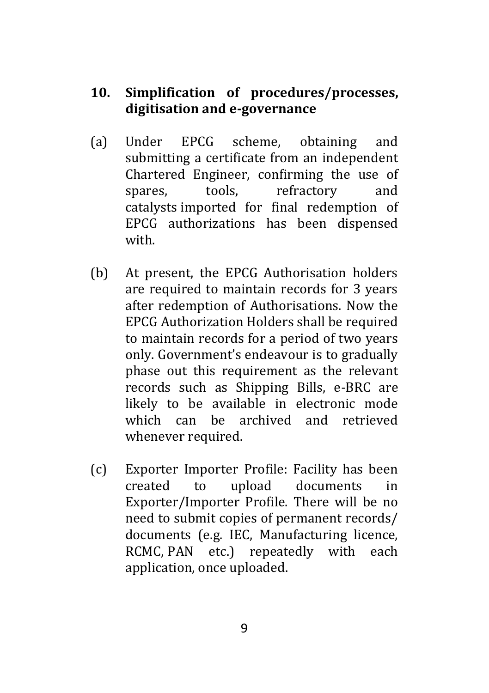#### **10. Simplification of procedures/processes, digitisation and e-governance**

- (a) Under EPCG scheme, obtaining and submitting a certificate from an independent Chartered Engineer, confirming the use of spares, tools, refractory and catalysts imported for final redemption of EPCG authorizations has been dispensed with.
- (b) At present, the EPCG Authorisation holders are required to maintain records for 3 years after redemption of Authorisations. Now the EPCG Authorization Holders shall be required to maintain records for a period of two years only. Government's endeavour is to gradually phase out this requirement as the relevant records such as Shipping Bills, e-BRC are likely to be available in electronic mode which can be archived and retrieved whenever required.
- (c) Exporter Importer Profile: Facility has been created to upload documents in Exporter/Importer Profile. There will be no need to submit copies of permanent records/ documents (e.g. IEC, Manufacturing licence, RCMC, PAN etc.) repeatedly with each application, once uploaded.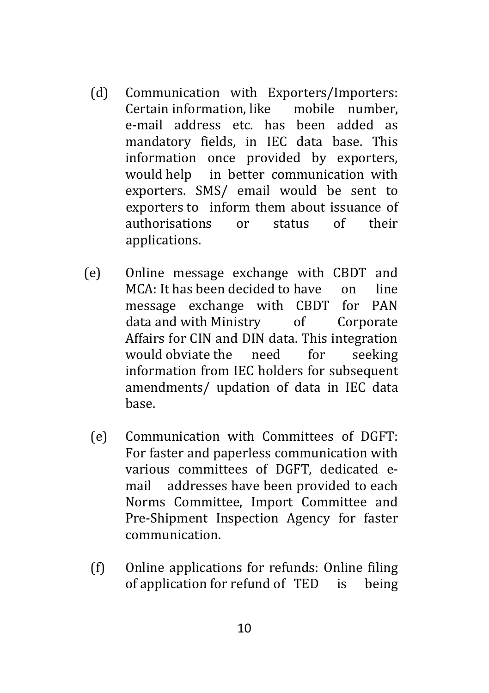- (d) Communication with Exporters/Importers: Certain information, like mobile number, e-mail address etc. has been added as mandatory fields, in IEC data base. This information once provided by exporters, would help in better communication with exporters. SMS/ email would be sent to exporters to inform them about issuance of authorisations or status of their applications.
- (e) Online message exchange with CBDT and MCA: It has been decided to have on line message exchange with CBDT for PAN data and with Ministry of Corporate Affairs for CIN and DIN data. This integration would obviate the need for seeking information from IEC holders for subsequent amendments/ updation of data in IEC data base.
	- (e) Communication with Committees of DGFT: For faster and paperless communication with various committees of DGFT, dedicated email addresses have been provided to each Norms Committee, Import Committee and Pre-Shipment Inspection Agency for faster communication.
	- (f) Online applications for refunds: Online filing of application for refund of TED is being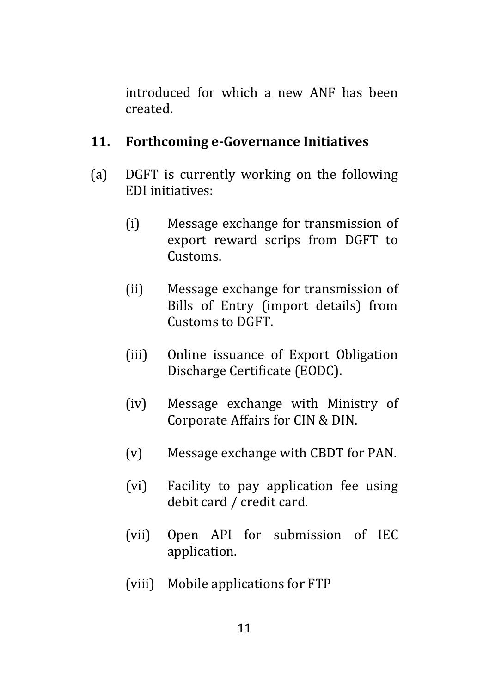introduced for which a new ANF has been created.

#### **11. Forthcoming e-Governance Initiatives**

- (a) DGFT is currently working on the following EDI initiatives:
	- (i) Message exchange for transmission of export reward scrips from DGFT to Customs.
	- (ii) Message exchange for transmission of Bills of Entry (import details) from Customs to DGFT.
	- (iii) Online issuance of Export Obligation Discharge Certificate (EODC).
	- (iv) Message exchange with Ministry of Corporate Affairs for CIN & DIN.
	- (v) Message exchange with CBDT for PAN.
	- (vi) Facility to pay application fee using debit card / credit card.
	- (vii) Open API for submission of IEC application.
	- (viii) Mobile applications for FTP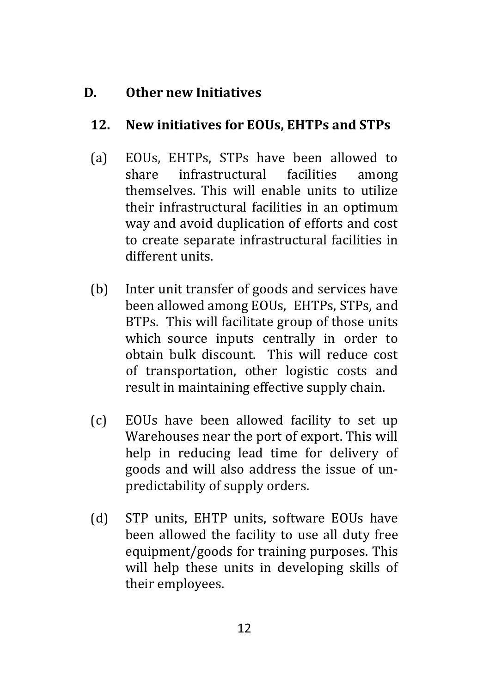# **D. Other new Initiatives**

#### **12. New initiatives for EOUs, EHTPs and STPs**

- (a) EOUs, EHTPs, STPs have been allowed to share infrastructural facilities among themselves. This will enable units to utilize their infrastructural facilities in an optimum way and avoid duplication of efforts and cost to create separate infrastructural facilities in different units.
- (b) Inter unit transfer of goods and services have been allowed among EOUs, EHTPs, STPs, and BTPs. This will facilitate group of those units which source inputs centrally in order to obtain bulk discount. This will reduce cost of transportation, other logistic costs and result in maintaining effective supply chain.
- (c) EOUs have been allowed facility to set up Warehouses near the port of export. This will help in reducing lead time for delivery of goods and will also address the issue of unpredictability of supply orders.
- (d) STP units, EHTP units, software EOUs have been allowed the facility to use all duty free equipment/goods for training purposes. This will help these units in developing skills of their employees.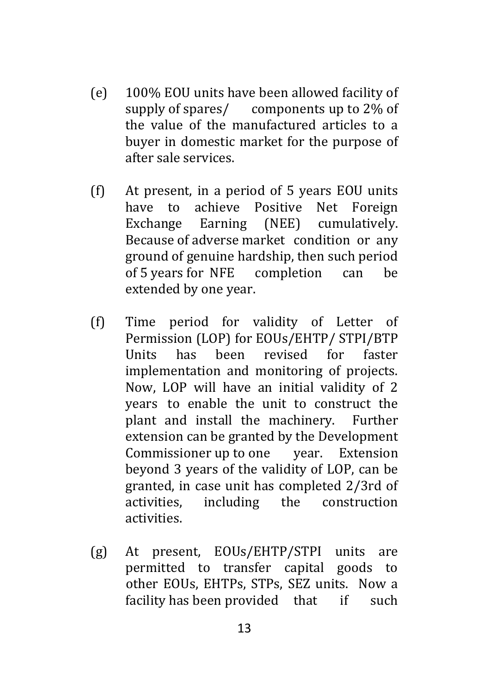- (e) 100% EOU units have been allowed facility of supply of spares/ components up to 2% of the value of the manufactured articles to a buyer in domestic market for the purpose of after sale services.
- (f) At present, in a period of 5 years EOU units have to achieve Positive Net Foreign Exchange Earning (NEE) cumulatively. Because of adverse market condition or any ground of genuine hardship, then such period of 5 years for NFE completion can be extended by one year.
- (f) Time period for validity of Letter of Permission (LOP) for EOUs/EHTP/ STPI/BTP Units has been revised for faster implementation and monitoring of projects. Now, LOP will have an initial validity of 2 years to enable the unit to construct the plant and install the machinery. Further extension can be granted by the Development Commissioner up to one year. Extension beyond 3 years of the validity of LOP, can be granted, in case unit has completed 2/3rd of activities, including the construction activities.
- (g) At present, EOUs/EHTP/STPI units are permitted to transfer capital goods to other EOUs, EHTPs, STPs, SEZ units. Now a facility has been provided that if such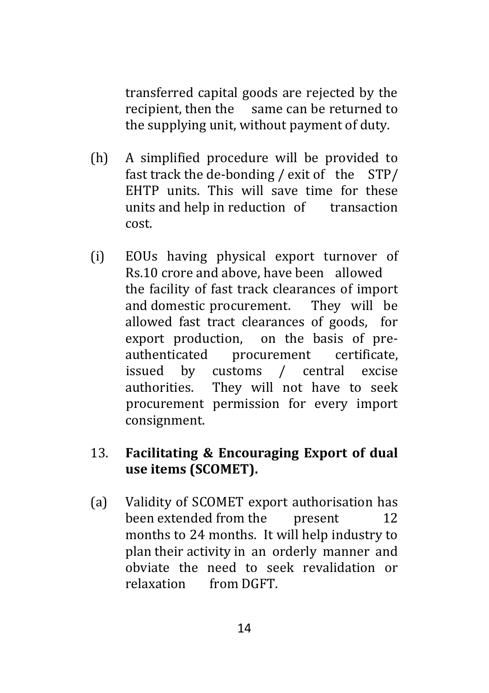transferred capital goods are rejected by the recipient, then the same can be returned to the supplying unit, without payment of duty.

- (h) A simplified procedure will be provided to fast track the de-bonding / exit of the STP/ EHTP units. This will save time for these units and help in reduction of transaction cost.
- (i) EOUs having physical export turnover of Rs.10 crore and above, have been allowed the facility of fast track clearances of import and domestic procurement. They will be allowed fast tract clearances of goods, for export production, on the basis of preauthenticated procurement certificate, issued by customs / central excise authorities. They will not have to seek procurement permission for every import consignment.

#### 13. **Facilitating & Encouraging Export of dual use items (SCOMET).**

(a) Validity of SCOMET export authorisation has been extended from the present 12 months to 24 months. It will help industry to plan their activity in an orderly manner and obviate the need to seek revalidation or relaxation from DGFT.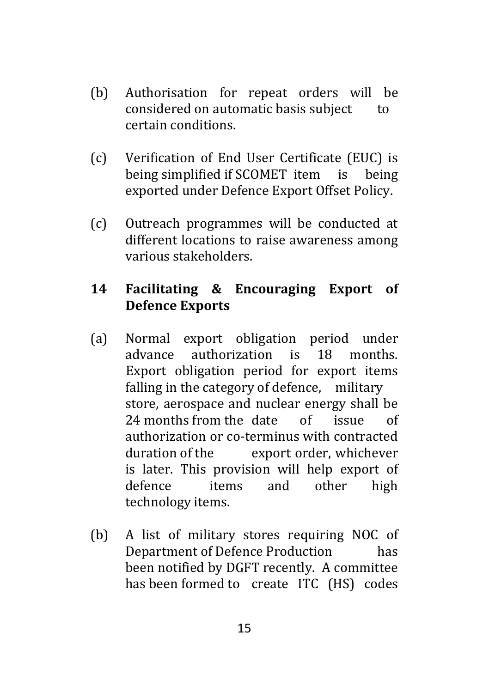- (b) Authorisation for repeat orders will be considered on automatic basis subject to certain conditions.
- (c) Verification of End User Certificate (EUC) is being simplified if SCOMET item is being exported under Defence Export Offset Policy.
- (c) Outreach programmes will be conducted at different locations to raise awareness among various stakeholders.

# **14 Facilitating & Encouraging Export of Defence Exports**

- (a) Normal export obligation period under advance authorization is 18 months. Export obligation period for export items falling in the category of defence, military store, aerospace and nuclear energy shall be 24 months from the date of issue of authorization or co-terminus with contracted duration of the export order, whichever is later. This provision will help export of defence items and other high technology items.
- (b) A list of military stores requiring NOC of Department of Defence Production has been notified by DGFT recently. A committee has been formed to create ITC (HS) codes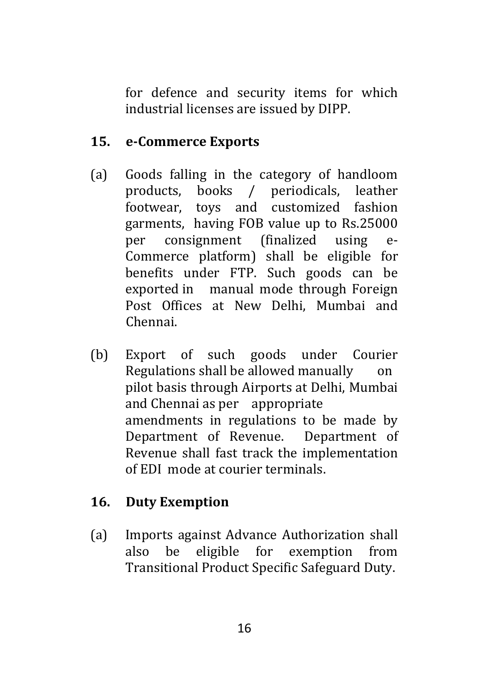for defence and security items for which industrial licenses are issued by DIPP.

# **15. e-Commerce Exports**

- (a) Goods falling in the category of handloom products, books / periodicals, leather footwear, toys and customized fashion garments, having FOB value up to Rs.25000 per consignment (finalized using e-Commerce platform) shall be eligible for benefits under FTP. Such goods can be exported in manual mode through Foreign Post Offices at New Delhi, Mumbai and Chennai.
- (b) Export of such goods under Courier Regulations shall be allowed manually on pilot basis through Airports at Delhi, Mumbai and Chennai as per appropriate amendments in regulations to be made by Department of Revenue. Department of Revenue shall fast track the implementation of EDI mode at courier terminals.

# **16. Duty Exemption**

(a) Imports against Advance Authorization shall also be eligible for exemption from Transitional Product Specific Safeguard Duty.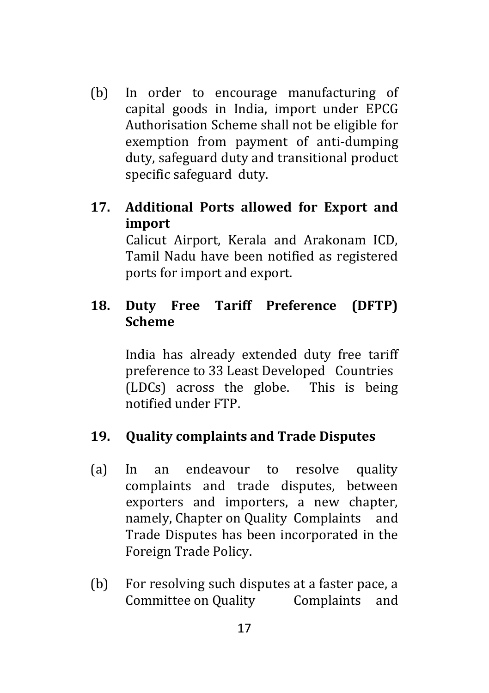(b) In order to encourage manufacturing of capital goods in India, import under EPCG Authorisation Scheme shall not be eligible for exemption from payment of anti-dumping duty, safeguard duty and transitional product specific safeguard duty.

#### **17. Additional Ports allowed for Export and import**

Calicut Airport, Kerala and Arakonam ICD, Tamil Nadu have been notified as registered ports for import and export.

# **18. Duty Free Tariff Preference (DFTP) Scheme**

India has already extended duty free tariff preference to 33 Least Developed Countries (LDCs) across the globe. This is being notified under FTP.

#### **19. Quality complaints and Trade Disputes**

- (a) In an endeavour to resolve quality complaints and trade disputes, between exporters and importers, a new chapter, namely, Chapter on Quality Complaints and Trade Disputes has been incorporated in the Foreign Trade Policy.
- (b) For resolving such disputes at a faster pace, a Committee on Quality Complaints and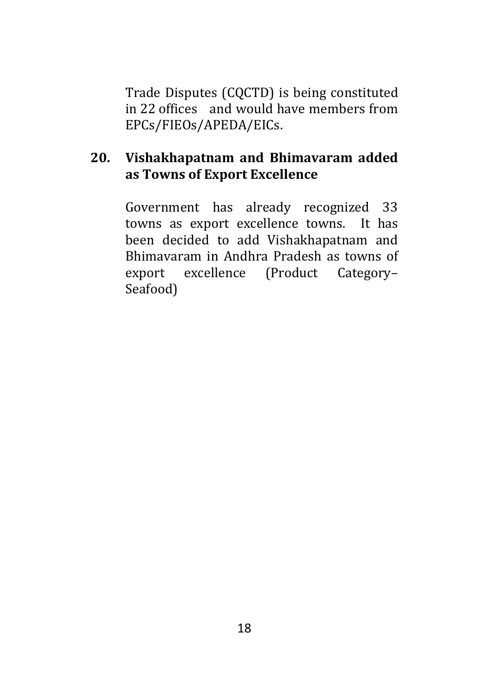Trade Disputes (CQCTD) is being constituted in 22 offices and would have members from EPCs/FIEOs/APEDA/EICs.

#### **20. Vishakhapatnam and Bhimavaram added as Towns of Export Excellence**

Government has already recognized 33 towns as export excellence towns. It has been decided to add Vishakhapatnam and Bhimavaram in Andhra Pradesh as towns of export excellence (Product Category– Seafood)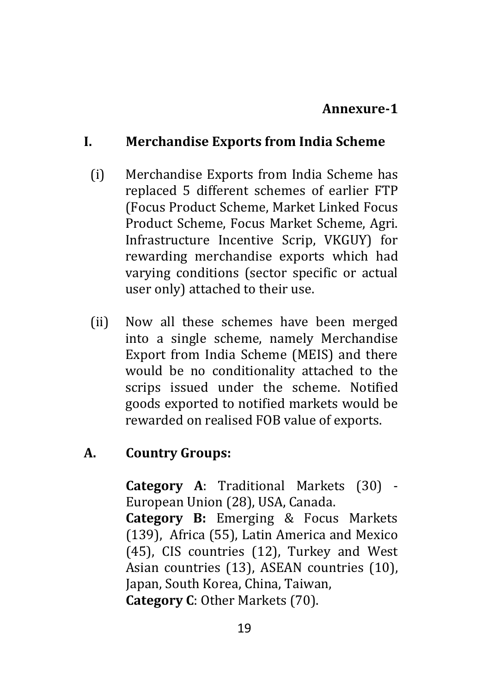#### **Annexure-1**

#### **I. Merchandise Exports from India Scheme**

- (i) Merchandise Exports from India Scheme has replaced 5 different schemes of earlier FTP (Focus Product Scheme, Market Linked Focus Product Scheme, Focus Market Scheme, Agri. Infrastructure Incentive Scrip, VKGUY) for rewarding merchandise exports which had varying conditions (sector specific or actual user only) attached to their use.
- (ii) Now all these schemes have been merged into a single scheme, namely Merchandise Export from India Scheme (MEIS) and there would be no conditionality attached to the scrips issued under the scheme. Notified goods exported to notified markets would be rewarded on realised FOB value of exports.

#### **A. Country Groups:**

**Category A**: Traditional Markets (30) - European Union (28), USA, Canada.

**Category B:** Emerging & Focus Markets (139), Africa (55), Latin America and Mexico (45), CIS countries (12), Turkey and West Asian countries (13), ASEAN countries (10), Japan, South Korea, China, Taiwan, **Category C**: Other Markets (70).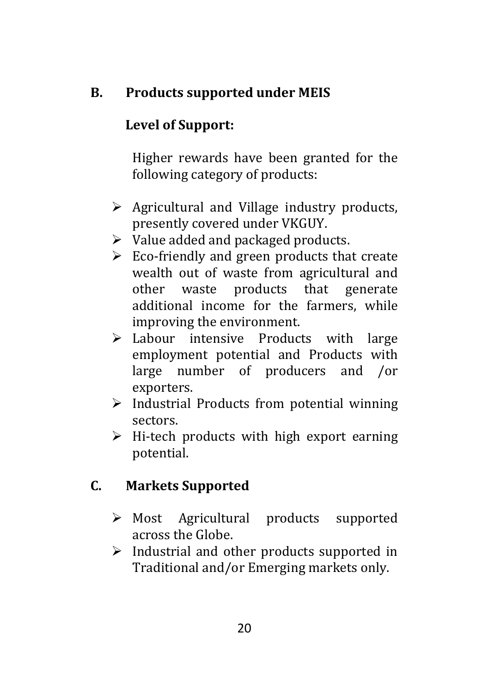# **B. Products supported under MEIS**

# **Level of Support:**

Higher rewards have been granted for the following category of products:

- $\triangleright$  Agricultural and Village industry products, presently covered under VKGUY.
- $\triangleright$  Value added and packaged products.
- $\triangleright$  Eco-friendly and green products that create wealth out of waste from agricultural and other waste products that generate additional income for the farmers, while improving the environment.
- Labour intensive Products with large employment potential and Products with large number of producers and /or exporters.
- $\triangleright$  Industrial Products from potential winning sectors.
- $\triangleright$  Hi-tech products with high export earning potential.

# **C. Markets Supported**

- Most Agricultural products supported across the Globe.
- $\triangleright$  Industrial and other products supported in Traditional and/or Emerging markets only.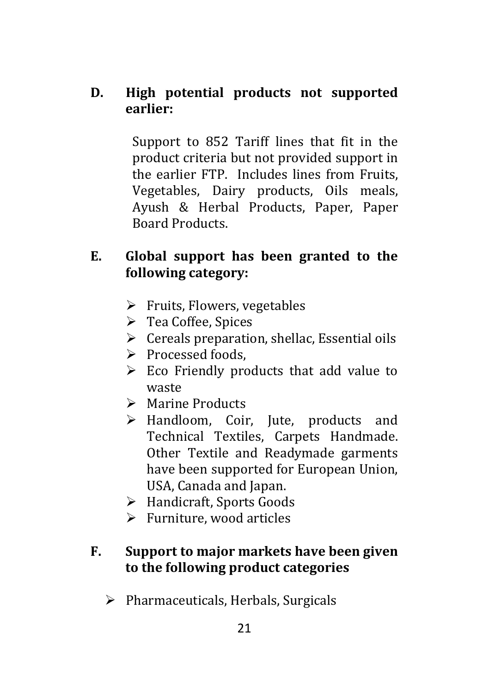#### **D. High potential products not supported earlier:**

Support to 852 Tariff lines that fit in the product criteria but not provided support in the earlier FTP. Includes lines from Fruits, Vegetables, Dairy products, Oils meals, Ayush & Herbal Products, Paper, Paper Board Products.

# **E. Global support has been granted to the following category:**

- $\triangleright$  Fruits, Flowers, vegetables
- Tea Coffee, Spices
- $\triangleright$  Cereals preparation, shellac, Essential oils
- $\triangleright$  Processed foods.
- $\triangleright$  Eco Friendly products that add value to waste
- > Marine Products
- > Handloom, Coir, Jute, products and Technical Textiles, Carpets Handmade. Other Textile and Readymade garments have been supported for European Union, USA, Canada and Japan.
- Handicraft, Sports Goods
- Furniture, wood articles

# **F. Support to major markets have been given to the following product categories**

 $\triangleright$  Pharmaceuticals, Herbals, Surgicals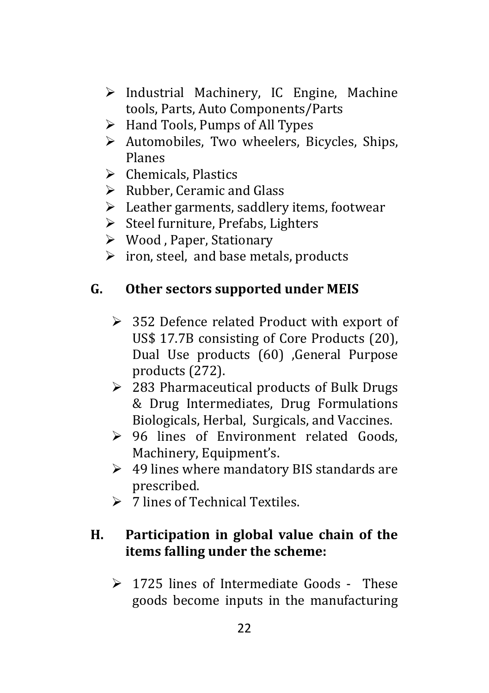- $\triangleright$  Industrial Machinery, IC Engine, Machine tools, Parts, Auto Components/Parts
- $\triangleright$  Hand Tools, Pumps of All Types
- $\triangleright$  Automobiles, Two wheelers, Bicycles, Ships, Planes
- $\triangleright$  Chemicals, Plastics
- $\triangleright$  Rubber, Ceramic and Glass
- $\blacktriangleright$  Leather garments, saddlery items, footwear
- $\triangleright$  Steel furniture, Prefabs, Lighters
- Wood , Paper, Stationary
- $\triangleright$  iron, steel, and base metals, products

#### **G. Other sectors supported under MEIS**

- $\geq$  352 Defence related Product with export of US\$ 17.7B consisting of Core Products (20), Dual Use products (60) ,General Purpose products (272).
- $\geq$  283 Pharmaceutical products of Bulk Drugs & Drug Intermediates, Drug Formulations Biologicals, Herbal, Surgicals, and Vaccines.
- 96 lines of Environment related Goods, Machinery, Equipment's.
- $\geq 49$  lines where mandatory BIS standards are prescribed.
- $\geq 7$  lines of Technical Textiles

## **H. Participation in global value chain of the items falling under the scheme:**

 $\geq 1725$  lines of Intermediate Goods - These goods become inputs in the manufacturing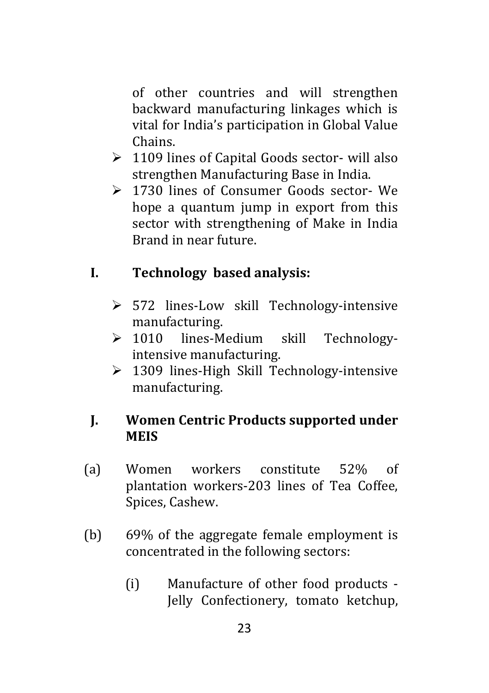of other countries and will strengthen backward manufacturing linkages which is vital for India's participation in Global Value Chains.

- $\geq 1109$  lines of Capital Goods sector- will also strengthen Manufacturing Base in India.
- 1730 lines of Consumer Goods sector- We hope a quantum jump in export from this sector with strengthening of Make in India Brand in near future.

# **I. Technology based analysis:**

- > 572 lines-Low skill Technology-intensive manufacturing.
- > 1010 lines-Medium skill Technologyintensive manufacturing.
- ▶ 1309 lines-High Skill Technology-intensive manufacturing.

#### **J. Women Centric Products supported under MEIS**

- (a) Women workers constitute 52% of plantation workers-203 lines of Tea Coffee, Spices, Cashew.
- (b) 69% of the aggregate female employment is concentrated in the following sectors:
	- (i) Manufacture of other food products Jelly Confectionery, tomato ketchup,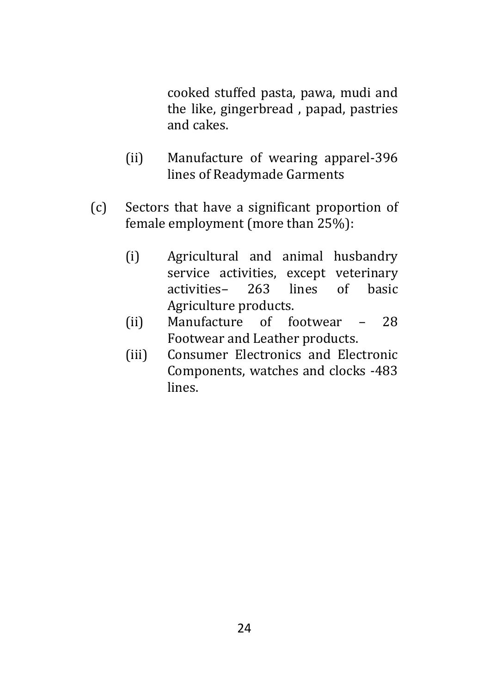cooked stuffed pasta, pawa, mudi and the like, gingerbread , papad, pastries and cakes.

- (ii) Manufacture of wearing apparel-396 lines of Readymade Garments
- (c) Sectors that have a significant proportion of female employment (more than 25%):
	- (i) Agricultural and animal husbandry service activities, except veterinary activities– 263 lines of basic Agriculture products.
	- (ii) Manufacture of footwear 28 Footwear and Leather products.
	- (iii) Consumer Electronics and Electronic Components, watches and clocks -483 lines.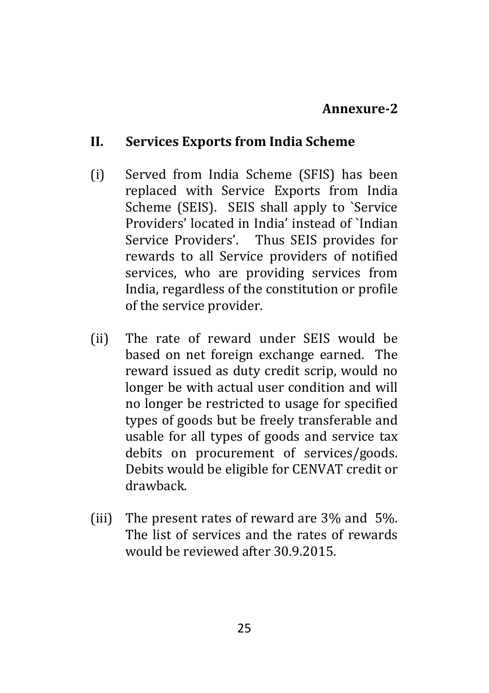#### **Annexure-2**

#### **II. Services Exports from India Scheme**

- (i) Served from India Scheme (SFIS) has been replaced with Service Exports from India Scheme (SEIS). SEIS shall apply to `Service Providers' located in India' instead of `Indian Service Providers'. Thus SEIS provides for rewards to all Service providers of notified services, who are providing services from India, regardless of the constitution or profile of the service provider.
- (ii) The rate of reward under SEIS would be based on net foreign exchange earned. The reward issued as duty credit scrip, would no longer be with actual user condition and will no longer be restricted to usage for specified types of goods but be freely transferable and usable for all types of goods and service tax debits on procurement of services/goods. Debits would be eligible for CENVAT credit or drawback.
- (iii) The present rates of reward are 3% and 5%. The list of services and the rates of rewards would be reviewed after 30.9.2015.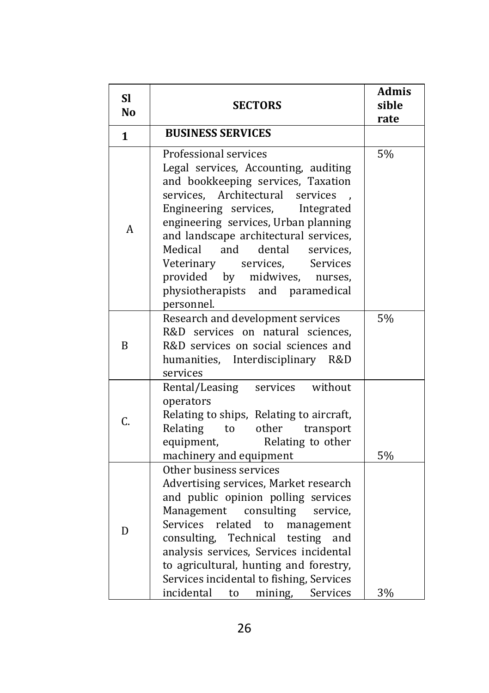| <b>Sl</b><br><b>No</b> | <b>SECTORS</b>                                                                                                                                                                                                                                                                                                                                                                                                                                       | <b>Admis</b><br>sible<br>rate |  |
|------------------------|------------------------------------------------------------------------------------------------------------------------------------------------------------------------------------------------------------------------------------------------------------------------------------------------------------------------------------------------------------------------------------------------------------------------------------------------------|-------------------------------|--|
| $\mathbf{1}$           | <b>BUSINESS SERVICES</b>                                                                                                                                                                                                                                                                                                                                                                                                                             |                               |  |
| A                      | Professional services<br>Legal services, Accounting, auditing<br>and bookkeeping services, Taxation<br>Architectural<br>services.<br>services<br>Engineering services,<br>Integrated<br>engineering services, Urban planning<br>and landscape architectural services,<br>Medical<br>and<br>dental<br>services,<br>Veterinary<br>services,<br>Services<br>provided<br>by<br>midwives,<br>nurses,<br>physiotherapists<br>and paramedical<br>personnel. | 5%                            |  |
| B                      | Research and development services<br>R&D services on natural sciences,<br>R&D services on social sciences and<br>humanities, Interdisciplinary R&D<br>services                                                                                                                                                                                                                                                                                       | 5%                            |  |
| C.                     | without<br>Rental/Leasing<br>services<br>operators<br>Relating to ships, Relating to aircraft,<br>Relating<br>other<br>transport<br>to<br>Relating to other<br>equipment,<br>machinery and equipment                                                                                                                                                                                                                                                 | 5%                            |  |
| D                      | Other business services<br>Advertising services, Market research<br>and public opinion polling services<br>consulting<br>Management<br>service.<br>Services<br>related<br>to<br>management<br>Technical testing and<br>consulting,<br>analysis services, Services incidental<br>to agricultural, hunting and forestry,<br>Services incidental to fishing, Services<br>incidental<br>Services<br>to<br>mining,                                        | 3%                            |  |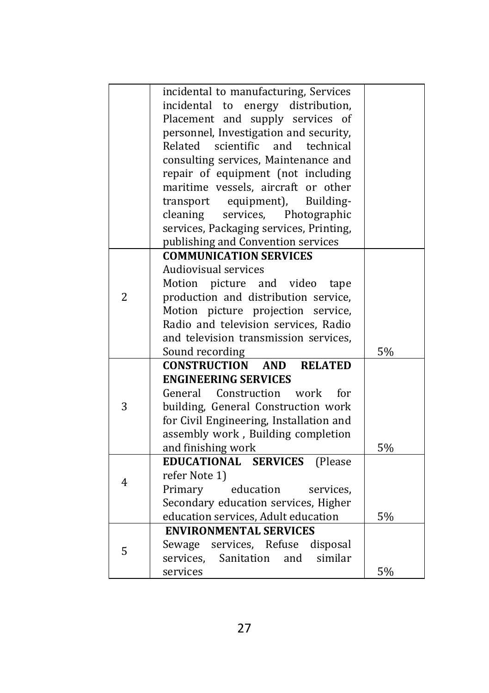|               | incidental to manufacturing, Services               |    |
|---------------|-----------------------------------------------------|----|
|               | incidental to energy distribution,                  |    |
|               | Placement and supply services of                    |    |
|               | personnel, Investigation and security,              |    |
| Related       | scientific and technical                            |    |
|               | consulting services, Maintenance and                |    |
|               | repair of equipment (not including                  |    |
|               | maritime vessels, aircraft or other                 |    |
|               | transport equipment),<br>Building-                  |    |
| cleaning      | services,<br>Photographic                           |    |
|               | services, Packaging services, Printing,             |    |
|               | publishing and Convention services                  |    |
|               | <b>COMMUNICATION SERVICES</b>                       |    |
|               | <b>Audiovisual services</b>                         |    |
| Motion        | picture and video<br>tape                           |    |
| 2             | production and distribution service,                |    |
|               | Motion picture projection service,                  |    |
|               | Radio and television services, Radio                |    |
|               | and television transmission services,               |    |
|               | Sound recording                                     | 5% |
|               | <b>CONSTRUCTION</b><br><b>RELATED</b><br><b>AND</b> |    |
|               | <b>ENGINEERING SERVICES</b>                         |    |
|               | General Construction work<br>for                    |    |
| 3             | building, General Construction work                 |    |
|               | for Civil Engineering, Installation and             |    |
|               | assembly work, Building completion                  |    |
|               | and finishing work                                  | 5% |
|               | EDUCATIONAL SERVICES<br>(Please)                    |    |
| refer Note 1) |                                                     |    |
| 4<br>Primary  | education<br>services.                              |    |
|               | Secondary education services, Higher                |    |
|               | education services, Adult education                 | 5% |
|               | <b>ENVIRONMENTAL SERVICES</b>                       |    |
| 5             | Sewage services, Refuse<br>disposal                 |    |
| services.     | Sanitation<br>and<br>similar                        |    |
| services      |                                                     | 5% |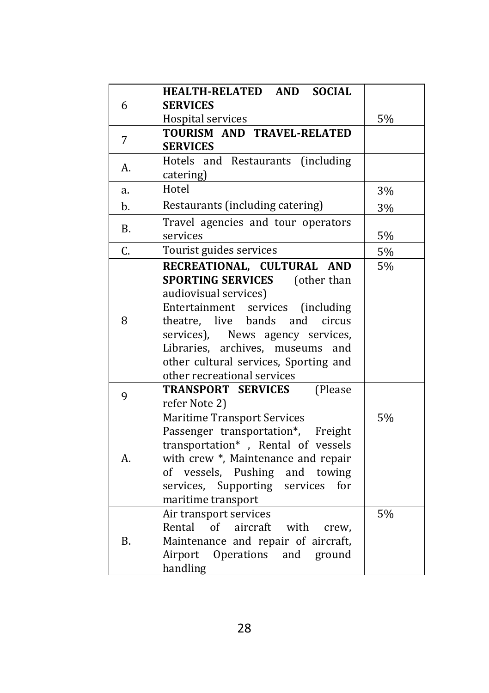|           | HEALTH-RELATED AND SOCIAL               |    |
|-----------|-----------------------------------------|----|
| 6         | <b>SERVICES</b>                         |    |
|           | Hospital services                       | 5% |
| 7         | TOURISM AND TRAVEL-RELATED              |    |
|           | <b>SERVICES</b>                         |    |
| А.        | Hotels and Restaurants (including       |    |
|           | catering)                               |    |
| a.        | Hotel                                   | 3% |
| b.        | Restaurants (including catering)        | 3% |
| <b>B.</b> | Travel agencies and tour operators      |    |
|           | services                                | 5% |
| C.        | Tourist guides services                 | 5% |
|           | RECREATIONAL, CULTURAL AND              | 5% |
|           | <b>SPORTING SERVICES</b><br>(other than |    |
|           | audiovisual services)                   |    |
|           | Entertainment services (including       |    |
| 8         | theatre, live bands<br>and<br>circus    |    |
|           | services),<br>News agency services,     |    |
|           | Libraries, archives, museums<br>and     |    |
|           | other cultural services, Sporting and   |    |
|           | other recreational services             |    |
| 9         | <b>TRANSPORT SERVICES</b><br>(Please    |    |
|           | refer Note 2)                           |    |
|           | <b>Maritime Transport Services</b>      | 5% |
|           | Passenger transportation*, Freight      |    |
|           | transportation*, Rental of vessels      |    |
| А.        | with crew *, Maintenance and repair     |    |
|           | of vessels, Pushing and towing          |    |
|           | services, Supporting services<br>for    |    |
|           | maritime transport                      |    |
| <b>B.</b> | Air transport services                  | 5% |
|           | of aircraft<br>Rental<br>with<br>crew.  |    |
|           | Maintenance and repair of aircraft,     |    |
|           | Airport Operations and ground           |    |
|           | handling                                |    |